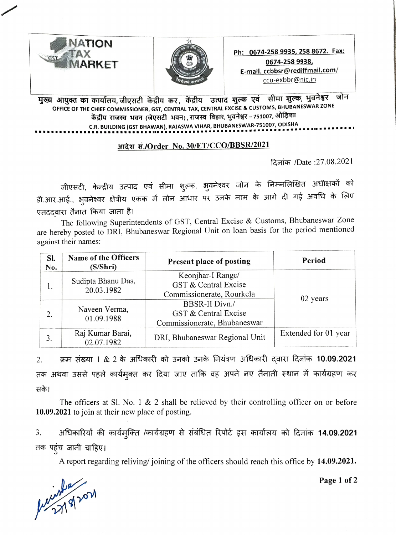



मुख्य आयुक्त का कार्यालय, जीएसटी केंद्रीय कर, केंद्रीय उत्पाद शुल्क एवं सीमा शुल्क, भुवनेश्वर जोन<br>OFFICE OF THE CHIEF COMMISSIONER, GST, CENTRAL TAX, CENTRAL EXCISE & CUSTOMS, BHUBANESWAR ZONE केंद्रीय राजस्व भवन (जेएसटी भवन), राजस्व विहार, भुवनेश्वर – 751007, ओड़िशा C.R. BUILDING (GST BHAWAN), RAJASWA VIHAR, BHUBANESWAR-751007, ODISHA

## आदेश सं./Order No. 30/ET/CCO/BBSR/2021

 $R\bar{a}$ ांक /Date :27.08.2021

जीएसटी, केन्द्रीय उत्पाद एवं सीमा शुल्क, भुवनेश्वर जोन के निम्नलिखित अधीक्षकों को डी.आर.आई., भुवनेश्वर क्षेत्रीय एकक में लोन आधार पर उनके नाम के आगे दी गई अवधि के लिए एतददवारा तैनात किया जाता है।

The following Superintendents of GST, Central Excise & Customs, Bhubaneswar Zone are hereby posted to DRI, Bhubaneswar Regional Unit on loan basis for the period mentioned against their names:

| SI.<br>No.       | Name of the Officers<br>(S/Shri) | Present place of posting                                               | Period               |
|------------------|----------------------------------|------------------------------------------------------------------------|----------------------|
| 1.               | Sudipta Bhanu Das,<br>20.03.1982 | Keonjhar-I Range/<br>GST & Central Excise<br>Commissionerate, Rourkela | 02 years             |
| $\overline{2}$ . | Naveen Verma,<br>01.09.1988      | BBSR-II Divn./<br>GST & Central Excise<br>Commissionerate, Bhubaneswar |                      |
| 3.               | Raj Kumar Barai,<br>02.07.1982   | DRI, Bhubaneswar Regional Unit                                         | Extended for 01 year |

2. अन्न संख्या 1 & 2 के अधिकारी को उनको उनके नियंत्रण अधिकारी दवारा दिनांक 10.09.2021 तक अथवा उससे पहले कार्यमुक्त कर दिया जाए ताकि वह अपने नए तैनाती स्थान में कार्यग्रहण कर सके।

The officers at SI. No. 1 & 2 shall be relieved by their controlling officer on or before 10.09.2021 to join at their new place of posting.

अधिकारियों की कार्यमुक्ति /कार्यग्रहण से संबंधित रिपोर्ट इस कार्यालय को दिनांक 14.09.2021 3. तक पहुंच जानी चाहिए।

A report regarding reliving/ joining of the officers should reach this office by 14.09.2021.<br>Page 1 of 2<br> $\mu \nu \nu \nu \nu \nu$ ,  $\sqrt{27(9)}$ 

Page 1 of 2